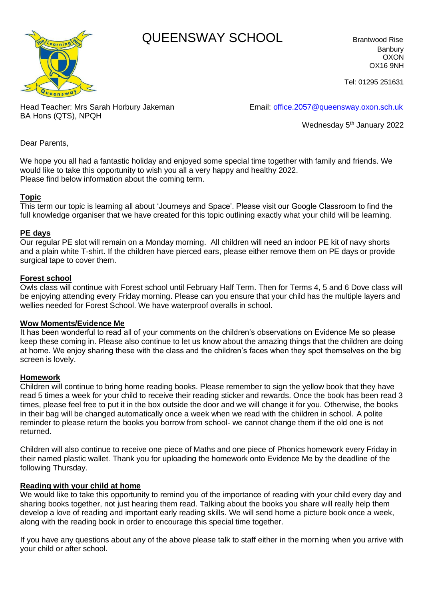# **Algoriths WAY SCHOOL** Brantwood Rise



Banbury OXON OX16 9NH

Tel: 01295 251631

Head Teacher: Mrs Sarah Horbury Jakeman Email: [office.2057@queensway.oxon.sch.uk](mailto:office.2057@queensway.oxon.sch.uk) BA Hons (QTS), NPQH

Wednesday 5<sup>th</sup> January 2022

Dear Parents,

We hope you all had a fantastic holiday and enjoyed some special time together with family and friends. We would like to take this opportunity to wish you all a very happy and healthy 2022. Please find below information about the coming term.

## **Topic**

This term our topic is learning all about 'Journeys and Space'. Please visit our Google Classroom to find the full knowledge organiser that we have created for this topic outlining exactly what your child will be learning.

#### **PE days**

Our regular PE slot will remain on a Monday morning. All children will need an indoor PE kit of navy shorts and a plain white T-shirt. If the children have pierced ears, please either remove them on PE days or provide surgical tape to cover them.

#### **Forest school**

Owls class will continue with Forest school until February Half Term. Then for Terms 4, 5 and 6 Dove class will be enjoying attending every Friday morning. Please can you ensure that your child has the multiple layers and wellies needed for Forest School. We have waterproof overalls in school.

#### **Wow Moments/Evidence Me**

It has been wonderful to read all of your comments on the children's observations on Evidence Me so please keep these coming in. Please also continue to let us know about the amazing things that the children are doing at home. We enjoy sharing these with the class and the children's faces when they spot themselves on the big screen is lovely.

#### **Homework**

Children will continue to bring home reading books. Please remember to sign the yellow book that they have read 5 times a week for your child to receive their reading sticker and rewards. Once the book has been read 3 times, please feel free to put it in the box outside the door and we will change it for you. Otherwise, the books in their bag will be changed automatically once a week when we read with the children in school. A polite reminder to please return the books you borrow from school- we cannot change them if the old one is not returned.

Children will also continue to receive one piece of Maths and one piece of Phonics homework every Friday in their named plastic wallet. Thank you for uploading the homework onto Evidence Me by the deadline of the following Thursday.

#### **Reading with your child at home**

We would like to take this opportunity to remind you of the importance of reading with your child every day and sharing books together, not just hearing them read. Talking about the books you share will really help them develop a love of reading and important early reading skills. We will send home a picture book once a week, along with the reading book in order to encourage this special time together.

If you have any questions about any of the above please talk to staff either in the morning when you arrive with your child or after school.